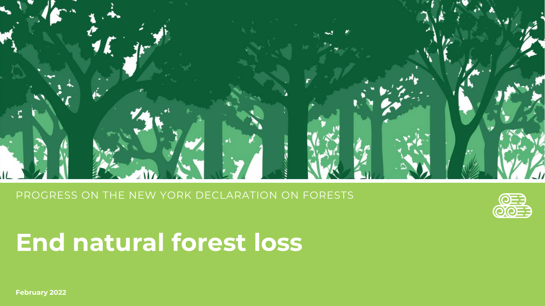PROGRESS ON THE NEW YORK DECLARATION ON FORESTS



# **End natural forest loss**

**February 2022**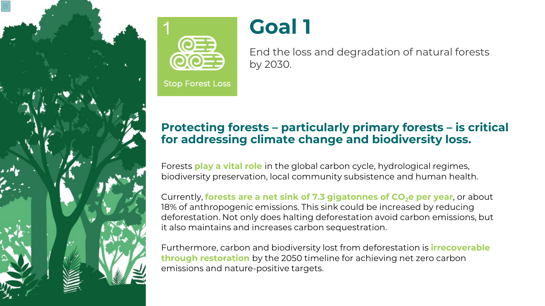



**Stop Forest Loss** 

# **Goal 1**

End the loss and degradation of natural forests by 2030.

# **Protecting forests – particularly primary forests – is critical for addressing climate change and biodiversity loss.**

Forests **play a vital role** in the global carbon cycle, hydrological regimes, biodiversity preservation, local community subsistence and human health.

Currently, **forests are a net sink of 7.3 gigatonnes of CO<sub>2</sub>e per year**, or about 18% of anthropogenic emissions. This sink could be increased by reducing deforestation. Not only does halting deforestation avoid carbon emissions, but it also maintains and increases carbon sequestration.

Furthermore, carbon and biodiversity lost from deforestation is **irrecoverable through restoration** by the 2050 timeline for achieving net zero carbon emissions and nature-positive targets.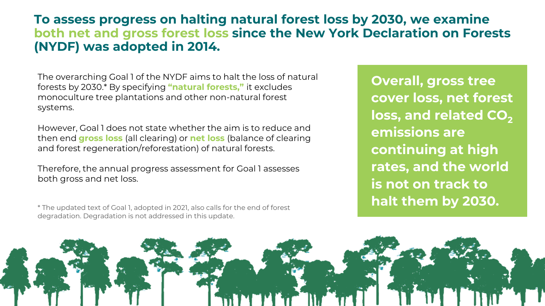## **To assess progress on halting natural forest loss by 2030, we examine both net and gross forest loss since the New York Declaration on Forests (NYDF) was adopted in 2014.**

The overarching Goal 1 of the NYDF aims to halt the loss of natural forests by 2030.\* By specifying **"natural forests,"** it excludes monoculture tree plantations and other non-natural forest systems.

However, Goal 1 does not state whether the aim is to reduce and then end **gross loss** (all clearing) or **net loss** (balance of clearing and forest regeneration/reforestation) of natural forests.

Therefore, the annual progress assessment for Goal 1 assesses both gross and net loss.

degradation. Degradation is not addressed in this update.

**Overall, gross tree cover loss, net forest**  loss, and related CO<sub>2</sub> **emissions are continuing at high rates, and the world is not on track to halt them by 2030.** \* The updated text of Goal 1, adopted in 2021, also calls for the end of forest

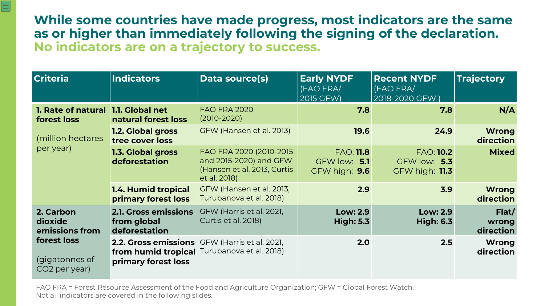**While some countries have made progress, most indicators are the same as or higher than immediately following the signing of the declaration. No indicators are on a trajectory to success.**

E

| <b>Criteria</b>                                                                          | <b>Indicators</b>                                           | Data source(s)                                                                                    | <b>Early NYDF</b><br>(FAO FRA/<br>2015 GFW)       | <b>Recent NYDF</b><br>(FAO FRA/<br>2018-2020 GFW)      | <b>Trajectory</b>           |
|------------------------------------------------------------------------------------------|-------------------------------------------------------------|---------------------------------------------------------------------------------------------------|---------------------------------------------------|--------------------------------------------------------|-----------------------------|
| 1. Rate of natural 1.1. Global net<br>forest loss                                        | natural forest loss                                         | <b>FAO FRA 2020</b><br>$(2010 - 2020)$                                                            | 7.8                                               | 7.8                                                    | N/A                         |
| (million hectares<br>per year)                                                           | <b>1.2. Global gross</b><br>tree cover loss                 | GFW (Hansen et al. 2013)                                                                          | 19.6                                              | 24.9                                                   | <b>Wrong</b><br>direction   |
|                                                                                          | 1.3. Global gross<br>deforestation                          | FAO FRA 2020 (2010-2015)<br>and 2015-2020) and GFW<br>(Hansen et al. 2013, Curtis<br>et al. 2018) | <b>FAO: 11.8</b><br>GFW low: 5.1<br>GFW high: 9.6 | <b>FAO: 10.2</b><br>GFW low: 5.3<br>$GFW$ high: $11.3$ | <b>Mixed</b>                |
|                                                                                          | <b>1.4. Humid tropical</b><br>primary forest loss           | GFW (Hansen et al. 2013,<br>Turubanova et al. 2018)                                               | 2.9                                               | 3.9                                                    | <b>Wrong</b><br>direction   |
| 2. Carbon<br>dioxide<br>emissions from<br>forest loss<br>(gigatonnes of<br>CO2 per year) | <b>2.1. Gross emissions</b><br>from global<br>deforestation | GFW (Harris et al. 2021,<br>Curtis et al. 2018)                                                   | <b>Low: 2.9</b><br><b>High: 5.3</b>               | <b>Low: 2.9</b><br><b>High: 6.3</b>                    | Flat/<br>wrong<br>direction |
|                                                                                          | primary forest loss                                         | 2.2. Gross emissions GFW (Harris et al. 2021,<br>from humid tropical Turubanova et al. 2018)      | 2.0                                               | 2.5                                                    | <b>Wrong</b><br>direction   |

FAO FRA = Forest Resource Assessment of the Food and Agriculture Organization; GFW = Global Forest Watch. Not all indicators are covered in the following slides.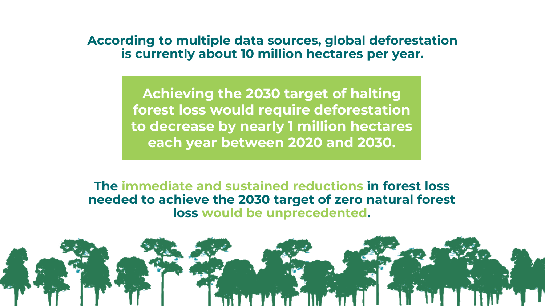#### **According to multiple data sources, global deforestation is currently about 10 million hectares per year.**

**Achieving the 2030 target of halting forest loss would require deforestation to decrease by nearly 1 million hectares each year between 2020 and 2030.** 

**The immediate and sustained reductions in forest loss needed to achieve the 2030 target of zero natural forest loss would be unprecedented.**

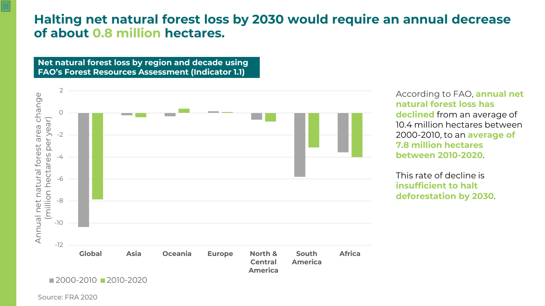### **Halting net natural forest loss by 2030 would require an annual decrease of about 0.8 million hectares.**

**Net natural forest loss by region and decade using FAO's Forest Resources Assessment (Indicator 1.1)**



According to FAO, **annual net natural forest loss has declined** from an average of 10.4 million hectares between 2000-2010, to an **average of 7.8 million hectares between 2010-2020**.

This rate of decline is **insufficient to halt deforestation by 2030**.

Source: FRA 2020

≣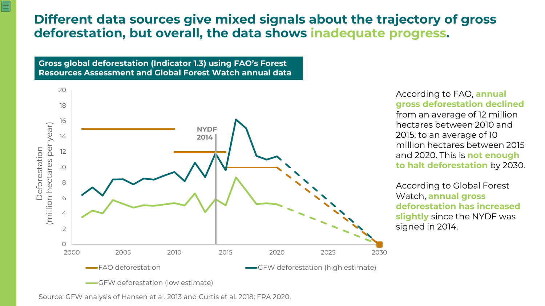# **Different data sources give mixed signals about the trajectory of gross deforestation, but overall, the data shows inadequate progress.**

**Gross global deforestation (Indicator 1.3) using FAO's Forest Resources Assessment and Global Forest Watch annual data** 

亖



#### According to FAO, **annual gross deforestation declined**

from an average of 12 million hectares between 2010 and 2015, to an average of 10 million hectares between 2015 and 2020. This is **not enough to halt deforestation** by 2030.

According to Global Forest Watch, **annual gross deforestation has increased slightly** since the NYDF was signed in 2014.

Source: GFW analysis of Hansen et al. 2013 and Curtis et al. 2018; FRA 2020.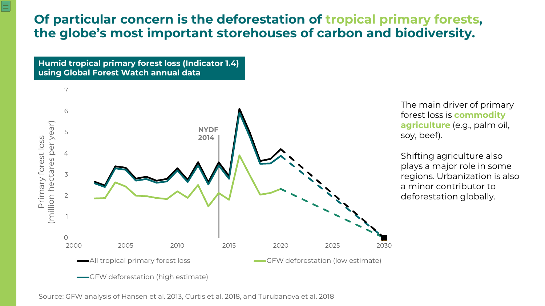# **Of particular concern is the deforestation of tropical primary forests, the globe's most important storehouses of carbon and biodiversity.**

**Humid tropical primary forest loss (Indicator 1.4) using Global Forest Watch annual data** 

亖



The main driver of primary forest loss is **commodity agriculture** (e.g., palm oil, soy, beef).

Shifting agriculture also plays a major role in some regions. Urbanization is also a minor contributor to deforestation globally.

Source: GFW analysis of Hansen et al. 2013, Curtis et al. 2018, and Turubanova et al. 2018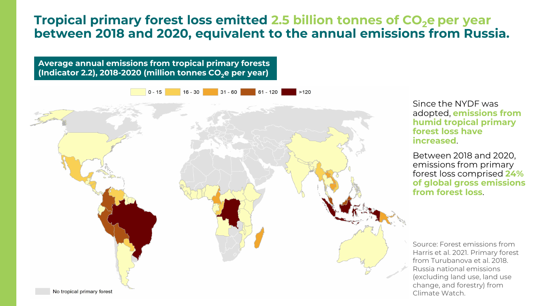# **Tropical primary forest loss emitted 2.5 billion tonnes of CO<sub>2</sub>e per year between 2018 and 2020, equivalent to the annual emissions from Russia.**



Since the NYDF was adopted, **emissions from humid tropical primary forest loss have increased**.

Between 2018 and 2020, emissions from primary forest loss comprised **24% of global gross emissions from forest loss**.

Source: Forest emissions from Harris et al. 2021. Primary forest from Turubanova et al. 2018. Russia national emissions (excluding land use, land use change, and forestry) from Climate Watch.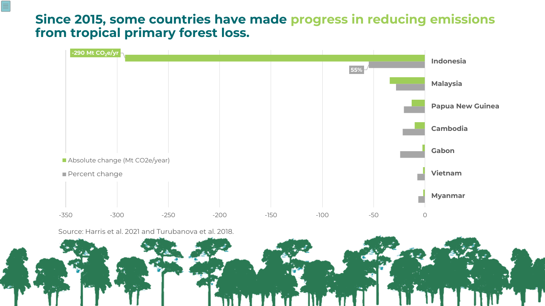# **Since 2015, some countries have made progress in reducing emissions from tropical primary forest loss.**



Source: Harris et al. 2021 and Turubanova et al. 2018.

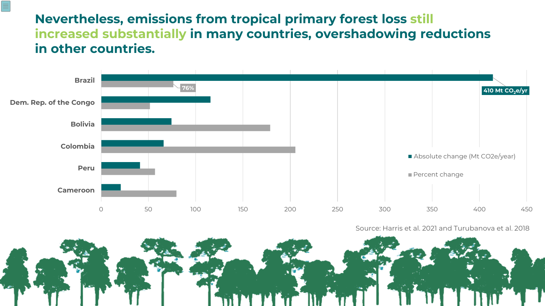# **Nevertheless, emissions from tropical primary forest loss still increased substantially in many countries, overshadowing reductions in other countries.**



Source: Harris et al. 2021 and Turubanova et al. 2018